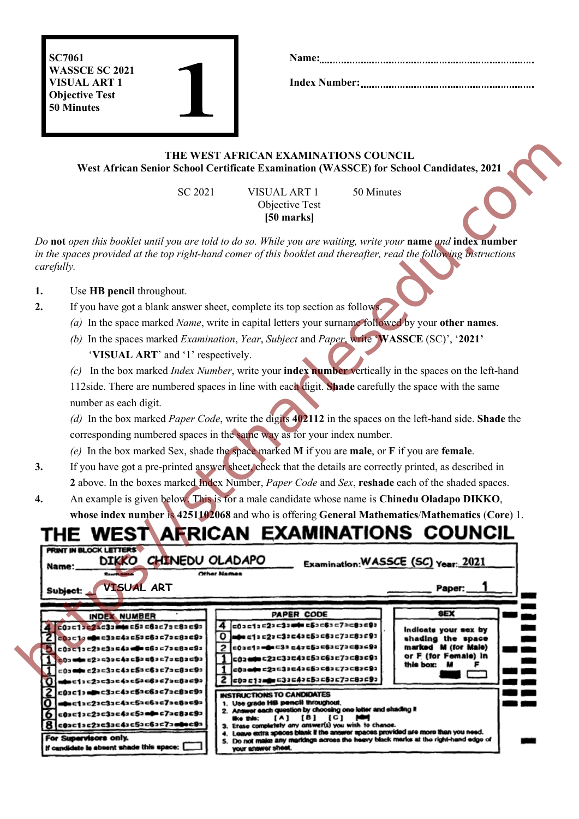SC7061 WASSCE SC 2021 VISUAL ART 1 Objective Test 50 Minutes

Index Number:

### THE WEST AFRICAN EXAMINATIONS COUNCIL West African Senior School Certificate Examination (WASSCE) for School Candidates, 2021

### 1. Use HB pencil throughout.

- 2. If you have got a blank answer sheet, complete its top section as follows.
	- *(a)* In the space marked *Name*, write in capital letters your surname followed by your other names.
	- *(b)* In the spaces marked *Examination*, *Year*, *Subject* and *Paper*, write 'WASSCE (SC)', '2021' 'VISUAL ART' and '1' respectively.

- 3. If you have got a pre-printed answer sheet, check that the details are correctly printed, as described in 2 above. In the boxes marked Index Number, *Paper Code* and *Sex*, reshade each of the shaded spaces.
- 4. An example is given below. This is for a male candidate whose name is Chinedu Oladapo DIKKO, whose index number is 4251102068 and who is offering General Mathematics/Mathematics (Core) 1.

|                                                                                  | West African Senior School Certificate Examination (WASSCE) for School Candidates, 2021                                                                                                                                             | THE WEST AFRICAN EXAMINATIONS COUNCIL                                                            |                                                                                                                                                    |                                          |  |  |
|----------------------------------------------------------------------------------|-------------------------------------------------------------------------------------------------------------------------------------------------------------------------------------------------------------------------------------|--------------------------------------------------------------------------------------------------|----------------------------------------------------------------------------------------------------------------------------------------------------|------------------------------------------|--|--|
|                                                                                  | SC 2021                                                                                                                                                                                                                             | <b>VISUAL ART 1</b><br>Objective Test<br>[50 marks]                                              | 50 Minutes                                                                                                                                         |                                          |  |  |
| carefully.                                                                       | Do not open this booklet until you are told to do so. While you are waiting, write your name and index number<br>in the spaces provided at the top right-hand comer of this booklet and thereafter, read the following instructions |                                                                                                  |                                                                                                                                                    |                                          |  |  |
| 1.                                                                               | Use HB pencil throughout.                                                                                                                                                                                                           |                                                                                                  |                                                                                                                                                    |                                          |  |  |
| If you have got a blank answer sheet, complete its top section as follows.<br>2. |                                                                                                                                                                                                                                     |                                                                                                  |                                                                                                                                                    |                                          |  |  |
|                                                                                  | (a) In the space marked Name, write in capital letters your surname followed by your other names.                                                                                                                                   |                                                                                                  |                                                                                                                                                    |                                          |  |  |
|                                                                                  | (b) In the spaces marked Examination, Year, Subject and Paper, write 'WASSCE (SC)', '2021'                                                                                                                                          |                                                                                                  |                                                                                                                                                    |                                          |  |  |
|                                                                                  | 'VISUAL ART' and '1' respectively.                                                                                                                                                                                                  |                                                                                                  |                                                                                                                                                    |                                          |  |  |
|                                                                                  | In the box marked <i>Index Number</i> , write your <b>index number</b> vertically in the spaces on the left-hand                                                                                                                    |                                                                                                  |                                                                                                                                                    |                                          |  |  |
|                                                                                  | 112side. There are numbered spaces in line with each digit. Shade carefully the space with the same                                                                                                                                 |                                                                                                  |                                                                                                                                                    |                                          |  |  |
|                                                                                  | number as each digit.                                                                                                                                                                                                               |                                                                                                  |                                                                                                                                                    |                                          |  |  |
|                                                                                  | (d) In the box marked Paper Code, write the digits 402112 in the spaces on the left-hand side. Shade the                                                                                                                            |                                                                                                  |                                                                                                                                                    |                                          |  |  |
|                                                                                  | corresponding numbered spaces in the same way as for your index number.                                                                                                                                                             |                                                                                                  |                                                                                                                                                    |                                          |  |  |
|                                                                                  | (e) In the box marked Sex, shade the space marked $M$ if you are male, or $F$ if you are female.                                                                                                                                    |                                                                                                  |                                                                                                                                                    |                                          |  |  |
| 3.                                                                               | If you have got a pre-printed answer sheet, check that the details are correctly printed, as described in                                                                                                                           |                                                                                                  |                                                                                                                                                    |                                          |  |  |
|                                                                                  | 2 above. In the boxes marked Index Number, Paper Code and Sex, reshade each of the shaded spaces.                                                                                                                                   |                                                                                                  |                                                                                                                                                    |                                          |  |  |
| 4.                                                                               | An example is given below. This is for a male candidate whose name is Chinedu Oladapo DIKKO,                                                                                                                                        |                                                                                                  |                                                                                                                                                    |                                          |  |  |
|                                                                                  | whose index number is 4251102068 and who is offering General Mathematics/Mathematics (Core) 1.                                                                                                                                      |                                                                                                  |                                                                                                                                                    |                                          |  |  |
|                                                                                  |                                                                                                                                                                                                                                     |                                                                                                  |                                                                                                                                                    | EST ARRICAN EXAMINATIONS COUNCIL         |  |  |
|                                                                                  |                                                                                                                                                                                                                                     |                                                                                                  |                                                                                                                                                    |                                          |  |  |
|                                                                                  | DIKKO CHINEDU OLADAPO<br>Name:                                                                                                                                                                                                      |                                                                                                  |                                                                                                                                                    | Examination: WASSCE (SC) Year: 2021      |  |  |
|                                                                                  | <b>VISUAL ART</b>                                                                                                                                                                                                                   |                                                                                                  |                                                                                                                                                    | Paper:                                   |  |  |
|                                                                                  | Subject:                                                                                                                                                                                                                            |                                                                                                  |                                                                                                                                                    |                                          |  |  |
|                                                                                  | <b>INDEX NUMBER</b>                                                                                                                                                                                                                 | PAPER CODE                                                                                       |                                                                                                                                                    | 8EX                                      |  |  |
|                                                                                  | 4 603C13c21c33mmmuc53c63c7sc83c93<br>$2 000012$ and $030043053063273083093$                                                                                                                                                         | 4 000010020030000050080070080090<br>0 деся с 12 с 22 с 32 с 42 с 62 с 62 с 72 с 82 с 92          |                                                                                                                                                    | indicate your sex by                     |  |  |
|                                                                                  | $5$ $c0$ 3 $c1$ 3 $c2$ 3 $c3$ 3 $c4$ 3 $d0$ $c6$ 3 $c7$ 3 $c8$ 3 $c9$ 3                                                                                                                                                             | 2 000010000030047650060070080680                                                                 |                                                                                                                                                    | shading the space<br>marked M (for Male) |  |  |
| м                                                                                | $0.03$ and $0.23$ and $0.33$ and $0.53$ and $0.73$ and $0.63$ and $0.73$ and $0.63$ and $0.73$ and $0.73$ and $0.73$ and $0.73$ and $0.73$ and $0.73$ and $0.73$ and $0.73$ and $0.73$ and $0.73$ and $0.73$ and $0.73$ and         | 1 003000022033043053063073083093<br>$1$ c03ete c23c33c43c53c63c73c83c93                          |                                                                                                                                                    | or F (for Female) in<br>this box: M      |  |  |
| 11                                                                               | $-0$ 3 mp c23 = 33 = 43 = 53 = 63 = 73 = 83 = 93                                                                                                                                                                                    | 2 00001000030040050050070080090                                                                  |                                                                                                                                                    |                                          |  |  |
|                                                                                  | 2 c03c1>ame3ac43c5ac6ac7ac8ac9a                                                                                                                                                                                                     | INSTRUCTIONS TO CANDIDATES<br>1. Use grade HB pencil throughout.                                 |                                                                                                                                                    |                                          |  |  |
|                                                                                  | $\bf{0}$   $\bf{a}$ = c12c22c32c42c52c62c72c82c92<br>$6$ c0sc1sc2sc3sc4sc5ambc7ac8sc9a                                                                                                                                              |                                                                                                  | 2. Answer each question by choosing one letter and shading it<br>4. Leave extra spaces blank if the answer spaces provided are more than you need. |                                          |  |  |
|                                                                                  | 8 000010020030040050060070000090                                                                                                                                                                                                    | $(A)$ $(B)$ $(C)$ $\blacktriangleright$<br>3. Erase completely any answer(s) you wish to change. |                                                                                                                                                    |                                          |  |  |
|                                                                                  | For Supervisors only.<br>If candidate is absent shade this space: [                                                                                                                                                                 |                                                                                                  | 5. Do not make any markings across the heavy black marks at the right-hand edge of                                                                 |                                          |  |  |
|                                                                                  |                                                                                                                                                                                                                                     | your answer sheet.                                                                               |                                                                                                                                                    |                                          |  |  |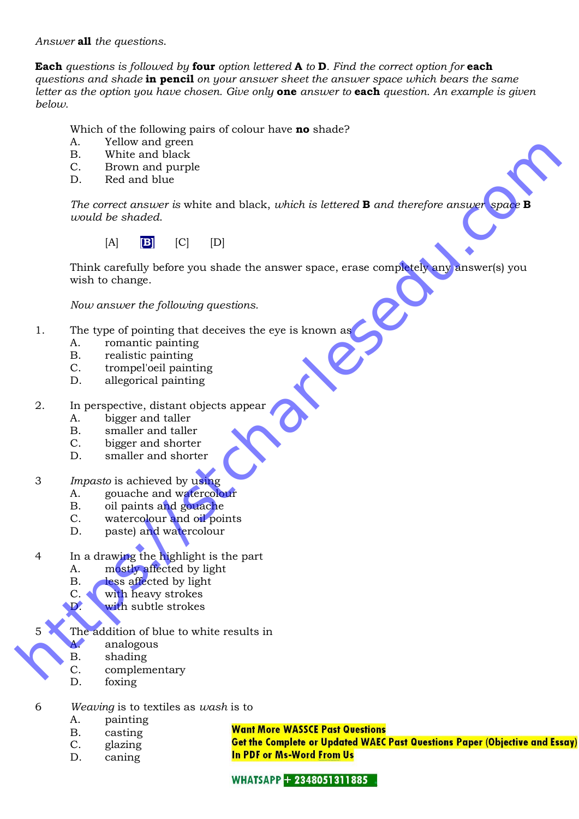*Answer* all *the questions*.

Each *questions is followed by* four *option lettered* A *to* D*. Find the correct option for* each *questions and shade* in pencil *on your answer sheet the answer space which bears the same letter as the option you have chosen. Give only* one *answer to* each *question. An example is given below.*

Which of the following pairs of colour have **no** shade?

- A. Yellow and green
- B. White and black
- C. Brown and purple
- D. Red and blue

*The correct answer is* white and black, *which is lettered* **B** *and therefore answer space would be shaded*.

 $[A]$   $[B]$   $[C]$   $[D]$ 

Think carefully before you shade the answer space, erase completely any answer(s) you wish to change. A. White and places<br> **H. White and bluek**<br>
C. Brown and placek<br>
D. Red and the<br>
The correct granuer is white and black, which is lattered **B** and therefore answer<br>
usual de abodes.<br>
[A] **EU** (C) [P]<br> **Think carefully below** 

*Now answer the following questions.*

- 1. The type of pointing that deceives the eye is known as
	- A. romantic painting
	- B. realistic painting
	- C. trompel'oeil painting
	- D. allegorical painting
- 2. In perspective, distant objects appear
	- A. bigger and taller
	- B. smaller and taller
	- C. bigger and shorter
	- D. smaller and shorter
- 3 *Impasto* is achieved by using
	- A. gouache and watercolour
	- B. oil paints and gouache
	- C. watercolour and oil points
	- D. paste) and watercolour
- 4 In a drawing the highlight is the part<br>A. mostly affected by light
	- mostly affected by light
	- B. less affected by light
	- C. with heavy strokes
	- D. with subtle strokes
- 5 The addition of blue to white results in
	- A. analogous
	- B. shading
	- C. complementary
	- D. foxing
- 6 *Weaving* is to textiles as *wash* is to
	- A. painting
	- B. casting
	- C. glazing
	- D. caning

**Want More WASSCE Past Questions** 

**Get the Complete or Updated WAEC Past Questions Paper (Objective and Essay) In PDF or Ms-Word From Us** 

**WHATSAPP + 2348051311885**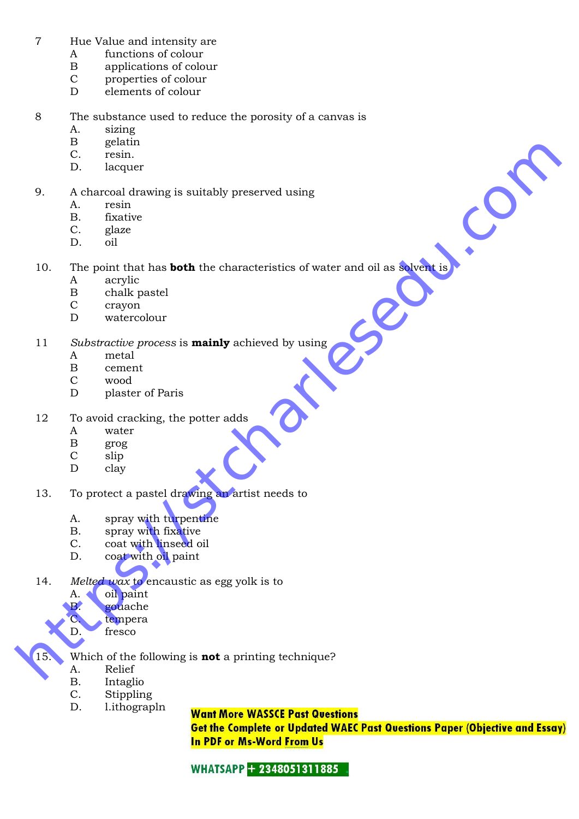- 7 Hue Value and intensity are
	- A functions of colour
	- B applications of colour
	- C properties of colour<br>D elements of colour
	- elements of colour
- 8 The substance used to reduce the porosity of a canvas is
	- A. sizing
	- B gelatin<br>C. resin.
	- resin.
	- D. lacquer
- 9. A charcoal drawing is suitably preserved using
	- A. resin
	- B. fixative
	- C. glaze
	- D. oil

10. The point that has **both** the characteristics of water and oil as solvent is B. Increase the stationary is suitably preserved using<br> **https://stcharlesedu.com**<br> **https://stcharlesedu.com**<br> **here** complements is suitably preserved using<br> **here** complements and complements<br> **here** complements are det

- A acrylic
- B chalk pastel
- C crayon
- D watercolour

11 *Substractive process* is mainly achieved by using

- A metal
- B cement<br>C wood
- wood
- D plaster of Paris
- 12 To avoid cracking, the potter adds
	- A water
	- B grog<br>C slip
	- slip
	- D clay
- 13. To protect a pastel drawing an artist needs to
	- A. spray with turpentine
	- B. spray with fixative
	- C. coat with linseed oil
	- D. coat with oil paint
- 14. *Melted wax* to encaustic as egg yolk is to
	- A. oil paint
	- B. gouache
	- C. tempera
	- D. fresco
- 15. Which of the following is **not** a printing technique?
	- A. Relief
	- B. Intaglio
	- C. Stippling
	- D. l.ithograpln

**Want More WASSCE Past Questions** 

**Get the Complete or Updated WAEC Past Questions Paper (Objective and Essay) In PDF or Ms-Word From Us** 

**WHATSAPP + 2348051311885**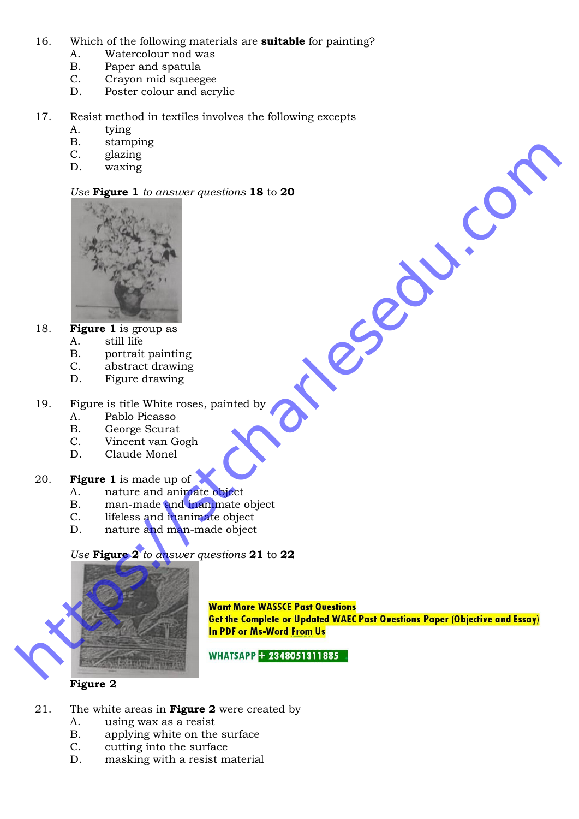- 16. Which of the following materials are **suitable** for painting?
	- A. Watercolour nod was
	- B. Paper and spatula
	- C. Crayon mid squeegee<br>D. Poster colour and acry
	- Poster colour and acrylic
- 17. Resist method in textiles involves the following excepts
	- A. tying
	- B. stamping
	- C. glazing
	- D. waxing

### *Use* Figure 1 *to answer questions* 18 to 20



- 18. **Figure 1** is group as
	- A. still life
	- B. portrait painting
	- C. abstract drawing
	- D. Figure drawing
- 19. Figure is title White roses, painted by
	- A. Pablo Picasso
	- B. George Scurat<br>C. Vincent van Go
	- Vincent van Gogh
	- D. Claude Monel

### 20. **Figure 1** is made up of

- A. nature and animate object
- B. man-made and inanimate object<br>C. lifeless and inanimate object
- lifeless and inanimate object
- D. nature and man-made object

*Use* Figure 2 *to answer questions* 21 to 22



painted by<br>painted by<br>mainted by<br>the complete<br>the object<br>de object<br>de object<br>enter bome and **by and the complete of the complete of the complete of the complete of the complete<br>in PDF or Me-Weard From Us<br>wHATSAPP EXECTED<br>T** 

### Figure 2

- 21. The white areas in **Figure 2** were created by
	- A. using wax as a resist
	- B. applying white on the surface
	- C. cutting into the surface
	- D. masking with a resist material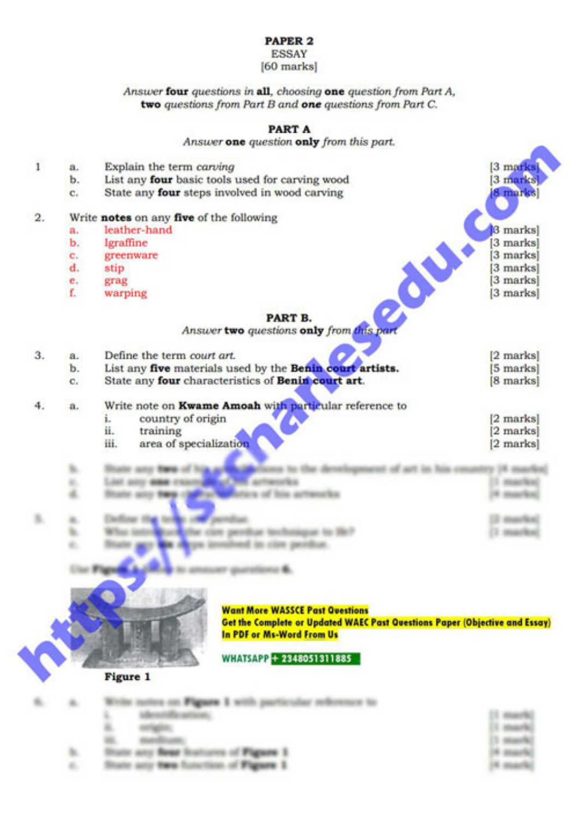### PAPER<sub>2</sub>

#### **ESSAY** [60 marks]

Answer four questions in all, choosing one question from Part A, two questions from Part B and one questions from Part C.

#### **PART A**

#### Answer one question only from this part.

| 1                | a. | Explain the term carving                                 | [3 marks] |
|------------------|----|----------------------------------------------------------|-----------|
|                  | b. | List any four basic tools used for carving wood          | [3 marks] |
|                  | c. | State any four steps involved in wood carving            | 8 marks   |
|                  |    |                                                          |           |
| $\overline{2}$ . |    | Write notes on any five of the following                 |           |
|                  | п. | leather-hand                                             | 3 marks   |
|                  | ь. | lgraffine                                                | 3 marks   |
|                  | c. | greenware                                                | 3 marks   |
|                  | d. | stip                                                     | 3 marks   |
|                  | e. | grag                                                     | 3 marks   |
|                  | f. | warping                                                  | [3 marks] |
|                  |    | P                                                        |           |
|                  |    | PART B.                                                  |           |
|                  |    | Answer two questions only from this part                 |           |
| 3.               | a. | Define the term court art.                               | [2 marks] |
|                  | b. | List any five materials used by the Benin court artists. | 5 marks   |
|                  | c. | State any four characteristics of Benin court art.       | [8 marks] |
|                  |    |                                                          |           |
|                  | a. | Write note on Kwame Amoah with particular reference to   |           |
|                  |    | country of origin<br>i.                                  | [2 marks] |
|                  |    | й.<br>training                                           | 2 marks   |
|                  |    | area of specialization<br>ili.                           | [2 marks] |
|                  |    |                                                          |           |
|                  |    |                                                          |           |
|                  |    |                                                          |           |
|                  |    |                                                          |           |
|                  |    |                                                          |           |
|                  |    |                                                          |           |
|                  |    |                                                          |           |
|                  |    |                                                          |           |
|                  |    |                                                          |           |
|                  |    |                                                          |           |
|                  |    |                                                          |           |



#### **Want More WASSCE Past Questions**

Get the Complete or Updated WAEC Past Questions Paper (Objective and Essay) In PDF or Ms-Word From Us

#### WHATSAPP + 2348051311885

### Figure 1

| $\sim$ | Write notes on Figure 1 with particular reference to |            |
|--------|------------------------------------------------------|------------|
|        | identification.                                      | 15 months! |
|        | $\sim$                                               | 11 marks   |
|        | marchinesis:                                         | 13 Months  |
|        | <b>Stute any fless bustoms of Figure 1</b>           | 16 march2  |
|        | Hum any two function of Figure 1.                    | 16 march 1 |